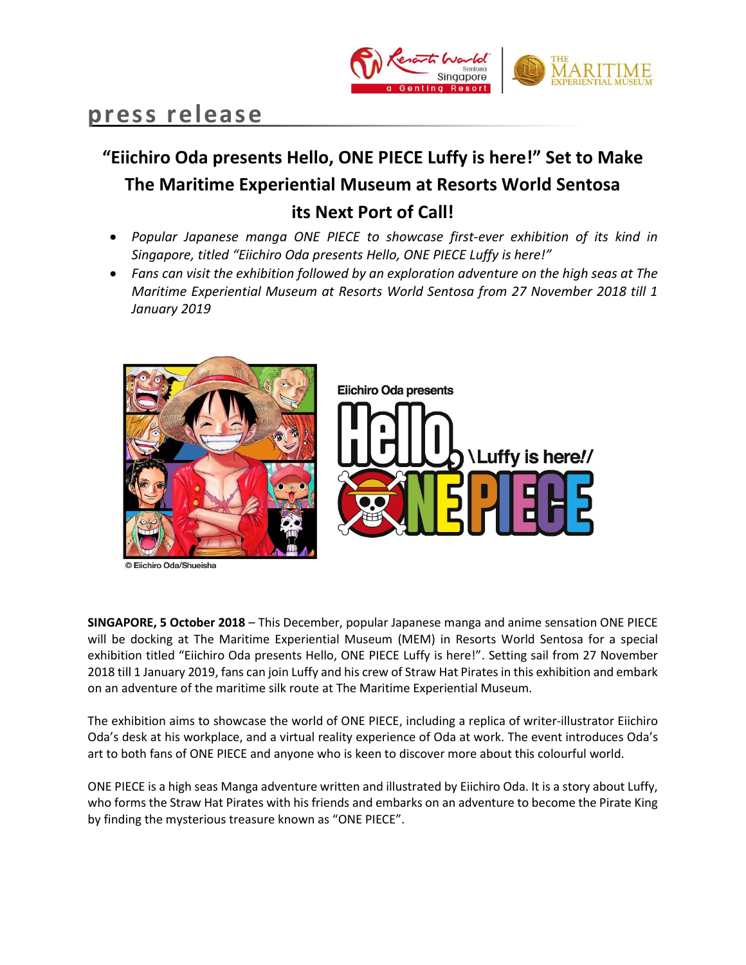

# **press release**

# **"Eiichiro Oda presents Hello, ONE PIECE Luffy is here!" Set to Make The Maritime Experiential Museum at Resorts World Sentosa its Next Port of Call!**

- *Popular Japanese manga ONE PIECE to showcase first-ever exhibition of its kind in Singapore, titled "Eiichiro Oda presents Hello, ONE PIECE Luffy is here!"*
- *Fans can visit the exhibition followed by an exploration adventure on the high seas at The Maritime Experiential Museum at Resorts World Sentosa from 27 November 2018 till 1 January 2019*



iichiro Oda/Shueisha



**SINGAPORE, 5 October 2018** – This December, popular Japanese manga and anime sensation ONE PIECE will be docking at The Maritime Experiential Museum (MEM) in Resorts World Sentosa for a special exhibition titled "Eiichiro Oda presents Hello, ONE PIECE Luffy is here!". Setting sail from 27 November 2018 till 1 January 2019, fans can join Luffy and his crew of Straw Hat Pirates in this exhibition and embark on an adventure of the maritime silk route at The Maritime Experiential Museum.

The exhibition aims to showcase the world of ONE PIECE, including a replica of writer-illustrator Eiichiro Oda's desk at his workplace, and a virtual reality experience of Oda at work. The event introduces Oda's art to both fans of ONE PIECE and anyone who is keen to discover more about this colourful world.

ONE PIECE is a high seas Manga adventure written and illustrated by Eiichiro Oda. It is a story about Luffy, who forms the Straw Hat Pirates with his friends and embarks on an adventure to become the Pirate King by finding the mysterious treasure known as "ONE PIECE".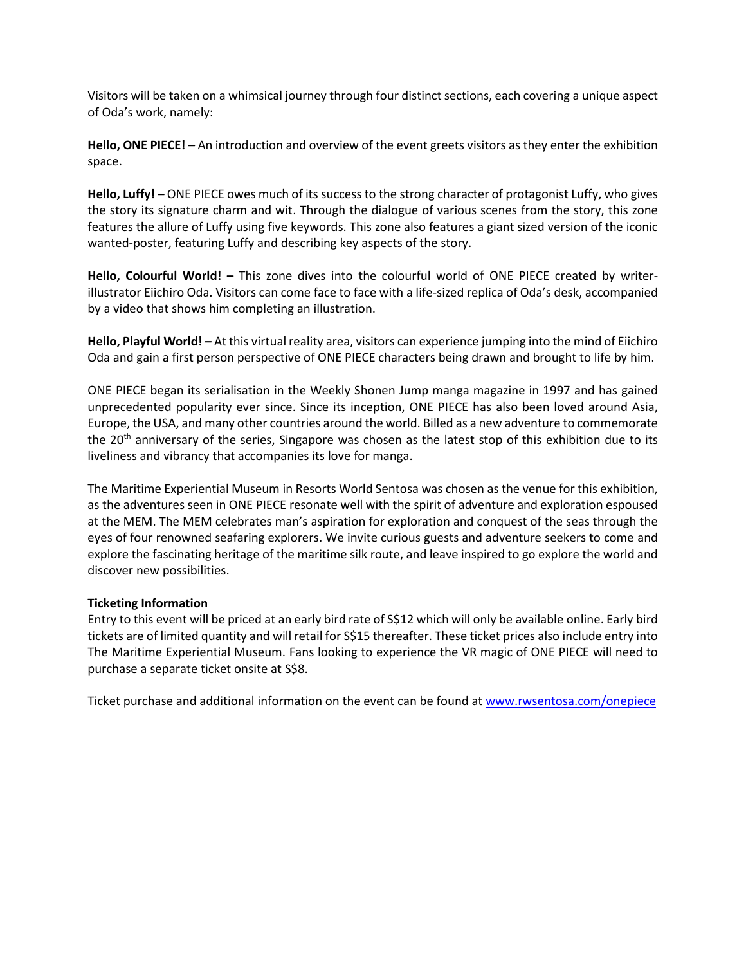Visitors will be taken on a whimsical journey through four distinct sections, each covering a unique aspect of Oda's work, namely:

**Hello, ONE PIECE! –** An introduction and overview of the event greets visitors as they enter the exhibition space.

**Hello, Luffy! –** ONE PIECE owes much of its success to the strong character of protagonist Luffy, who gives the story its signature charm and wit. Through the dialogue of various scenes from the story, this zone features the allure of Luffy using five keywords. This zone also features a giant sized version of the iconic wanted-poster, featuring Luffy and describing key aspects of the story.

**Hello, Colourful World! –** This zone dives into the colourful world of ONE PIECE created by writerillustrator Eiichiro Oda. Visitors can come face to face with a life-sized replica of Oda's desk, accompanied by a video that shows him completing an illustration.

**Hello, Playful World! –** At this virtual reality area, visitors can experience jumping into the mind of Eiichiro Oda and gain a first person perspective of ONE PIECE characters being drawn and brought to life by him.

ONE PIECE began its serialisation in the Weekly Shonen Jump manga magazine in 1997 and has gained unprecedented popularity ever since. Since its inception, ONE PIECE has also been loved around Asia, Europe, the USA, and many other countries around the world. Billed as a new adventure to commemorate the 20<sup>th</sup> anniversary of the series, Singapore was chosen as the latest stop of this exhibition due to its liveliness and vibrancy that accompanies its love for manga.

The Maritime Experiential Museum in Resorts World Sentosa was chosen as the venue for this exhibition, as the adventures seen in ONE PIECE resonate well with the spirit of adventure and exploration espoused at the MEM. The MEM celebrates man's aspiration for exploration and conquest of the seas through the eyes of four renowned seafaring explorers. We invite curious guests and adventure seekers to come and explore the fascinating heritage of the maritime silk route, and leave inspired to go explore the world and discover new possibilities.

## **Ticketing Information**

Entry to this event will be priced at an early bird rate of S\$12 which will only be available online. Early bird tickets are of limited quantity and will retail for S\$15 thereafter. These ticket prices also include entry into The Maritime Experiential Museum. Fans looking to experience the VR magic of ONE PIECE will need to purchase a separate ticket onsite at S\$8.

Ticket purchase and additional information on the event can be found at [www.rwsentosa.com/onepiece](http://www.rwsentosa.com/onepiece)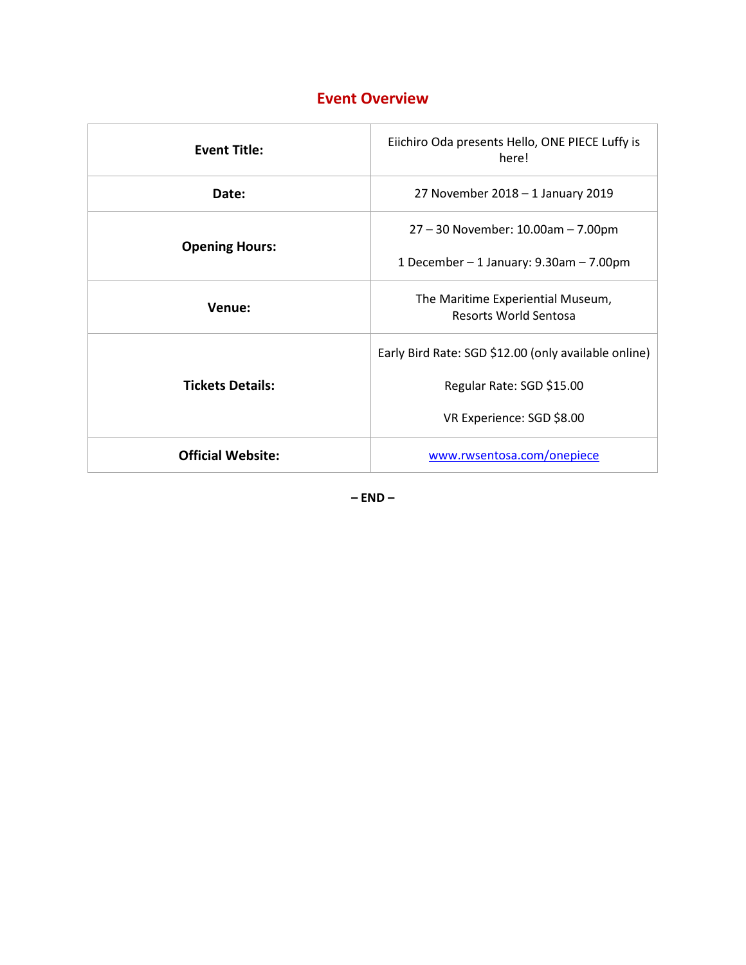# **Event Overview**

| <b>Event Title:</b>      | Eiichiro Oda presents Hello, ONE PIECE Luffy is<br>here!          |
|--------------------------|-------------------------------------------------------------------|
| Date:                    | 27 November 2018 - 1 January 2019                                 |
| <b>Opening Hours:</b>    | 27 - 30 November: 10.00am - 7.00pm                                |
|                          | 1 December $-$ 1 January: 9.30am $-$ 7.00pm                       |
| Venue:                   | The Maritime Experiential Museum,<br><b>Resorts World Sentosa</b> |
| <b>Tickets Details:</b>  | Early Bird Rate: SGD \$12.00 (only available online)              |
|                          | Regular Rate: SGD \$15.00                                         |
|                          | VR Experience: SGD \$8.00                                         |
| <b>Official Website:</b> | www.rwsentosa.com/onepiece                                        |

**– END –**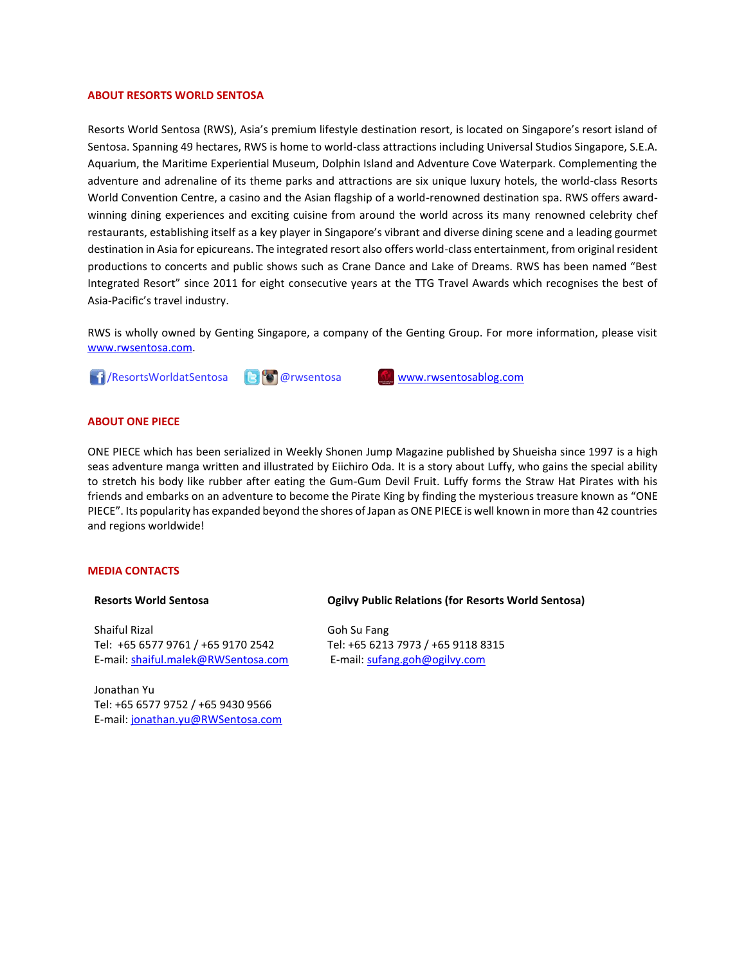#### **ABOUT RESORTS WORLD SENTOSA**

Resorts World Sentosa (RWS), Asia's premium lifestyle destination resort, is located on Singapore's resort island of Sentosa. Spanning 49 hectares, RWS is home to world-class attractions including Universal Studios Singapore, S.E.A. Aquarium, the Maritime Experiential Museum, Dolphin Island and Adventure Cove Waterpark. Complementing the adventure and adrenaline of its theme parks and attractions are six unique luxury hotels, the world-class Resorts World Convention Centre, a casino and the Asian flagship of a world-renowned destination spa. RWS offers awardwinning dining experiences and exciting cuisine from around the world across its many renowned celebrity chef restaurants, establishing itself as a key player in Singapore's vibrant and diverse dining scene and a leading gourmet destination in Asia for epicureans. The integrated resort also offers world-class entertainment, from original resident productions to concerts and public shows such as Crane Dance and Lake of Dreams. RWS has been named "Best Integrated Resort" since 2011 for eight consecutive years at the TTG Travel Awards which recognises the best of Asia-Pacific's travel industry.

RWS is wholly owned by Genting Singapore, a company of the Genting Group. For more information, please visit [www.rwsentosa.com.](http://www.rwsentosa.com/)



### **ABOUT ONE PIECE**

ONE PIECE which has been serialized in Weekly Shonen Jump Magazine published by Shueisha since 1997 is a high seas adventure manga written and illustrated by Eiichiro Oda. It is a story about Luffy, who gains the special ability to stretch his body like rubber after eating the Gum-Gum Devil Fruit. Luffy forms the Straw Hat Pirates with his friends and embarks on an adventure to become the Pirate King by finding the mysterious treasure known as "ONE PIECE". Its popularity has expanded beyond the shores of Japan as ONE PIECE is well known in more than 42 countries and regions worldwide!

#### **MEDIA CONTACTS**

#### **Resorts World Sentosa**

Shaiful Rizal Tel: +65 6577 9761 / +65 9170 2542 E-mail[: shaiful.malek@RWSentosa.com](mailto:loolin.chua@RWSentosa.com)

Jonathan Yu Tel: +65 6577 9752 / +65 9430 9566 E-mail[: jonathan.yu@RWSentosa.com](mailto:jonathan.yu@RWSentosa.com)

#### **Ogilvy Public Relations (for Resorts World Sentosa)**

Goh Su Fang Tel: +65 6213 7973 / +65 9118 8315 E-mail: [sufang.goh@ogilvy.com](mailto:sufang.goh@ogilvy.com)